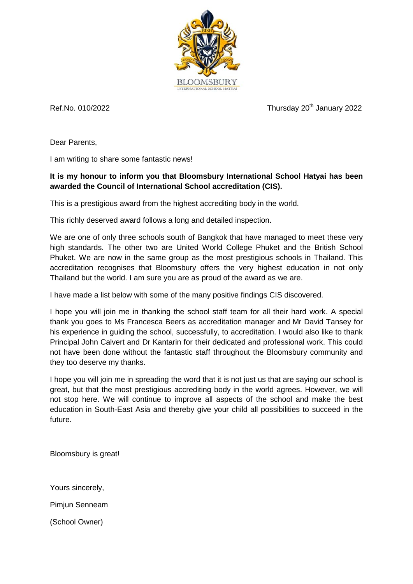

Ref.No. 010/2022  $\blacksquare$  Thursday 20<sup>th</sup> January 2022

Dear Parents,

I am writing to share some fantastic news!

## **It is my honour to inform you that Bloomsbury International School Hatyai has been awarded the Council of International School accreditation (CIS).**

This is a prestigious award from the highest accrediting body in the world.

This richly deserved award follows a long and detailed inspection.

We are one of only three schools south of Bangkok that have managed to meet these very high standards. The other two are United World College Phuket and the British School Phuket. We are now in the same group as the most prestigious schools in Thailand. This accreditation recognises that Bloomsbury offers the very highest education in not only Thailand but the world. I am sure you are as proud of the award as we are.

I have made a list below with some of the many positive findings CIS discovered.

I hope you will join me in thanking the school staff team for all their hard work. A special thank you goes to Ms Francesca Beers as accreditation manager and Mr David Tansey for his experience in guiding the school, successfully, to accreditation. I would also like to thank Principal John Calvert and Dr Kantarin for their dedicated and professional work. This could not have been done without the fantastic staff throughout the Bloomsbury community and they too deserve my thanks.

I hope you will join me in spreading the word that it is not just us that are saying our school is great, but that the most prestigious accrediting body in the world agrees. However, we will not stop here. We will continue to improve all aspects of the school and make the best education in South-East Asia and thereby give your child all possibilities to succeed in the future.

Bloomsbury is great!

Yours sincerely, Pimjun Senneam (School Owner)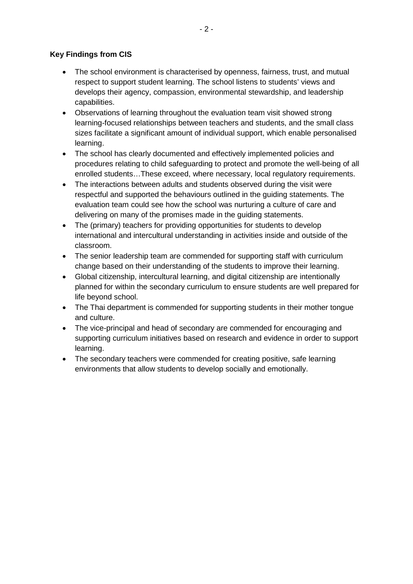## **Key Findings from CIS**

- The school environment is characterised by openness, fairness, trust, and mutual respect to support student learning. The school listens to students' views and develops their agency, compassion, environmental stewardship, and leadership capabilities.
- Observations of learning throughout the evaluation team visit showed strong learning-focused relationships between teachers and students, and the small class sizes facilitate a significant amount of individual support, which enable personalised learning.
- The school has clearly documented and effectively implemented policies and procedures relating to child safeguarding to protect and promote the well-being of all enrolled students…These exceed, where necessary, local regulatory requirements.
- The interactions between adults and students observed during the visit were respectful and supported the behaviours outlined in the guiding statements. The evaluation team could see how the school was nurturing a culture of care and delivering on many of the promises made in the guiding statements.
- The (primary) teachers for providing opportunities for students to develop international and intercultural understanding in activities inside and outside of the classroom.
- The senior leadership team are commended for supporting staff with curriculum change based on their understanding of the students to improve their learning.
- Global citizenship, intercultural learning, and digital citizenship are intentionally planned for within the secondary curriculum to ensure students are well prepared for life beyond school.
- The Thai department is commended for supporting students in their mother tongue and culture.
- The vice-principal and head of secondary are commended for encouraging and supporting curriculum initiatives based on research and evidence in order to support learning.
- The secondary teachers were commended for creating positive, safe learning environments that allow students to develop socially and emotionally.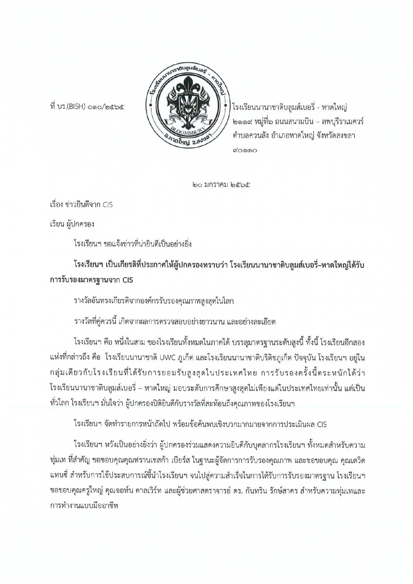

ที่ บร.(BISH) 000/๒๕๖๕

โรงเรียนนานาชาติบลูมส์เบอรี่ - หาดใหญ่ ๒๑๑๙ หมู่ที่๖ ถนนสนามบิน – ลพบุรีราเมศวร์ ตำบลควนลัง อำเภอหาดใหญ่ จังหวัดสงขลา லை

๒๐ มกราคม ๒๕๖๕

เรื่อง ข่าวยินดีจาก CIS

เรียน ผู้ปกครอง

โรงเรียนฯ ขอแจ้งข่าวที่น่ายินดีเป็นอย่างยิ่ง

โรงเรียนฯ เป็นเกียรติที่ประกาศให้ผู้ปกครองทราบว่า โรงเรียนนานาชาติบลูมส์เบอรี่–หาดใหญ่ได้รับ การรับรองมาตรฐานจาก CIS

รางวัลอันทรงเกียรติจากองค์กรรับรองคุณภาพสูงสุดในโลก

รางวัลที่คู่ควรนี้ เกิดจากผลการตรวจสอบอย่างยาวนาน และอย่างละเอียด

โรงเรียนฯ คือ หนึ่งในสาม ของโรงเรียนทั้งหมดในภาคใต้ บรรลุมาตรฐานระดับสูงนี้ ทั้งนี้ โรงเรียนอีกสอง แห่งที่กล่าวถึง คือ โรงเรียนนานาชาติ UWC ภูเก็ต และโรงเรียนนานาชาติบริติชภูเก็ต ปัจจุบัน โรงเรียนฯ อยู่ใน กลุ่มเดียวกับโรงเรียนที่ได้รับการยอมรับสูงสุดในประเทศไทย การรับรองครั้งนี้ตระหนักได้ว่า โรงเรียนนานาชาติบลูมส์เบอรี่ – หาดใหญ่ มอบระดับการศึกษาสูงสุดไม่เพียงแต่ในประเทศไทยเท่านั้น แต่เป็น ทั่วโลก โรงเรียนฯ มั่นใจว่า ผู้ปกครองปิติยินดีกับรางวัลที่สะท้อนถึงคุณภาพของโรงเรียนฯ

โรงเรียนฯ จัดทำรายการหน้าถัดไป พร้อมข้อค้นพบเชิงบวกมากมายจากการประเมินผล CIS

โรงเรียนฯ หวังเป็นอย่างยิ่งว่า ผู้ปกครองร่วมแสดงความยินดีกับบุคลากรโรงเรียนฯ ทั้งหมดสำหรับความ ทุ่มเท ที่สำคัญ ขอขอบคุณคุณฟรานเชสก้า เบียร์ส ในฐานะผู้จัดการการรับรองคุณภาพ และขอขอบคุณ คุณเดวิด แทนซี่ สำหรับการใช้ประสบการณ์ชี้นำโรงเรียนฯ จนไปสู่ความสำเร็จในการได้รับการรับรองมาตรฐาน โรงเรียนฯ ขอขอบคุณครูใหญ่ คุณจอห์น คาลเวิร์ท และผู้ช่วยศาสตราจารย์ ดร. กันทริน รักษ์สาคร สำหรับความทุ่มเทและ การทำงานแบบมืออาชีพ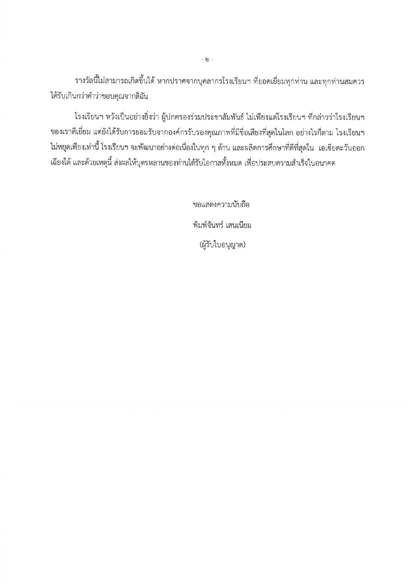รางวัลนี้ไม่สามารถเกิดขึ้นได้ หากปราศจากบุคลากรโรงเรียนฯ ที่ยอดเยี่ยมทุกท่าน และทุกท่านสมควร ได้รับเกินกว่าคำว่าขอบคุณจากดิฉัน

โรงเรียนฯ หวังเป็นอย่างยิ่งว่า ผู้ปกครองร่วมประชาสัมพันธ์ ไม่เพียงแต่โรงเรียนฯ ที่กล่าวว่าโรงเรียนฯ ของเราดีเยี่ยม แต่ยังได้รับการยอมรับจากองค์กรรับรองคุณภาพที่มีชื่อเสียงที่สุดในโลก อย่างไรก็ตาม โรงเรียนฯ ไม่หยุดเพียงเท่านี้ โรงเรียนฯ จะพัฒนาอย่างต่อเนื่องในทุก ๆ ด้าน และผลิตการศึกษาที่ดีที่สุดใน เอเซียตะวันออก เฉียงใต้ และด้วยเหตุนี้ ส่งผลให้บุตรหลานของท่านได้รับโอกาสทั้งหมด เพื่อประสบความสำเร็จในอนาคต

> ขอแสดงความนับถือ พิมพ์จันทร์ เสนเนียม (ผู้รับใบอนุญาต)